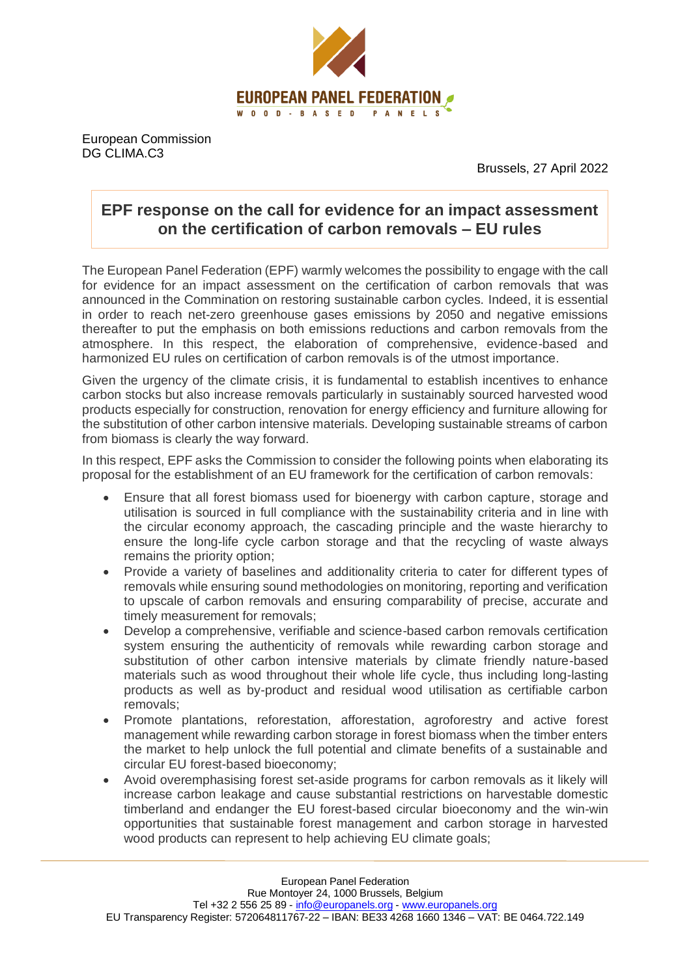

European Commission DG CLIMA.C3

Brussels, 27 April 2022

## **EPF response on the call for evidence for an impact assessment on the certification of carbon removals – EU rules**

The European Panel Federation (EPF) warmly welcomes the possibility to engage with the call for evidence for an impact assessment on the certification of carbon removals that was announced in the Commination on restoring sustainable carbon cycles. Indeed, it is essential in order to reach net-zero greenhouse gases emissions by 2050 and negative emissions thereafter to put the emphasis on both emissions reductions and carbon removals from the atmosphere. In this respect, the elaboration of comprehensive, evidence-based and harmonized EU rules on certification of carbon removals is of the utmost importance.

Given the urgency of the climate crisis, it is fundamental to establish incentives to enhance carbon stocks but also increase removals particularly in sustainably sourced harvested wood products especially for construction, renovation for energy efficiency and furniture allowing for the substitution of other carbon intensive materials. Developing sustainable streams of carbon from biomass is clearly the way forward.

In this respect, EPF asks the Commission to consider the following points when elaborating its proposal for the establishment of an EU framework for the certification of carbon removals:

- Ensure that all forest biomass used for bioenergy with carbon capture, storage and utilisation is sourced in full compliance with the sustainability criteria and in line with the circular economy approach, the cascading principle and the waste hierarchy to ensure the long-life cycle carbon storage and that the recycling of waste always remains the priority option;
- Provide a variety of baselines and additionality criteria to cater for different types of removals while ensuring sound methodologies on monitoring, reporting and verification to upscale of carbon removals and ensuring comparability of precise, accurate and timely measurement for removals;
- Develop a comprehensive, verifiable and science-based carbon removals certification system ensuring the authenticity of removals while rewarding carbon storage and substitution of other carbon intensive materials by climate friendly nature-based materials such as wood throughout their whole life cycle, thus including long-lasting products as well as by-product and residual wood utilisation as certifiable carbon removals;
- Promote plantations, reforestation, afforestation, agroforestry and active forest management while rewarding carbon storage in forest biomass when the timber enters the market to help unlock the full potential and climate benefits of a sustainable and circular EU forest-based bioeconomy;
- Avoid overemphasising forest set-aside programs for carbon removals as it likely will increase carbon leakage and cause substantial restrictions on harvestable domestic timberland and endanger the EU forest-based circular bioeconomy and the win-win opportunities that sustainable forest management and carbon storage in harvested wood products can represent to help achieving EU climate goals;